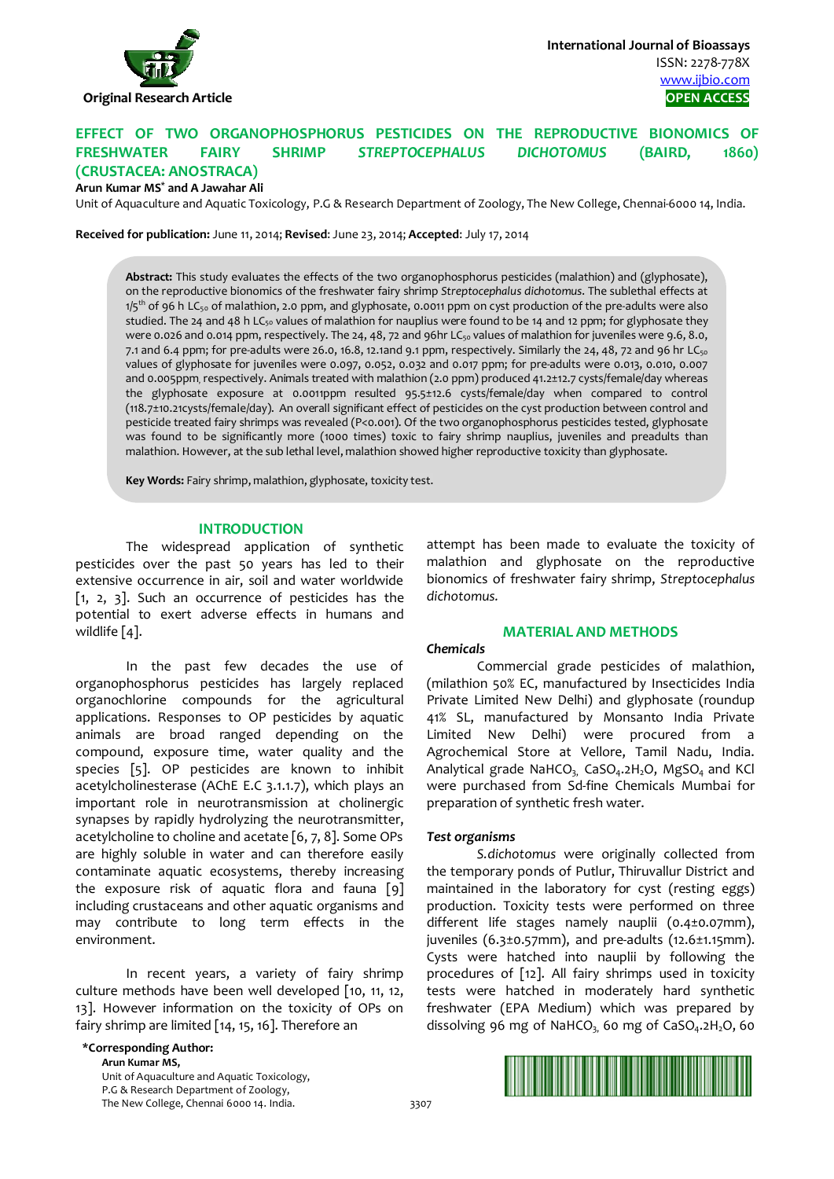

# **EFFECT OF TWO ORGANOPHOSPHORUS PESTICIDES ON THE REPRODUCTIVE BIONOMICS OF FRESHWATER FAIRY SHRIMP** *STREPTOCEPHALUS DICHOTOMUS* **(BAIRD, 1860) (CRUSTACEA: ANOSTRACA)**

**Arun Kumar MS\* and A Jawahar Ali** 

Unit of Aquaculture and Aquatic Toxicology, P.G & Research Department of Zoology, The New College, Chennai-6000 14, India.

**Received for publication:** June 11, 2014; **Revised**: June 23, 2014; **Accepted**: July 17, 2014

**Abstract:** This study evaluates the effects of the two organophosphorus pesticides (malathion) and (glyphosate), on the reproductive bionomics of the freshwater fairy shrimp *Streptocephalus dichotomus*. The sublethal effects at  $1/5$ <sup>th</sup> of 96 h LC<sub>50</sub> of malathion, 2.0 ppm, and glyphosate, 0.0011 ppm on cyst production of the pre-adults were also studied. The 24 and 48 h LC<sub>50</sub> values of malathion for nauplius were found to be 14 and 12 ppm; for glyphosate they were 0.026 and 0.014 ppm, respectively. The 24, 48, 72 and 96hr LC<sub>50</sub> values of malathion for juveniles were 9.6, 8.0, 7.1 and 6.4 ppm; for pre-adults were 26.0, 16.8, 12.1and 9.1 ppm, respectively. Similarly the 24, 48, 72 and 96 hr LC $_{50}$ values of glyphosate for juveniles were 0.097, 0.052, 0.032 and 0.017 ppm; for pre-adults were 0.013, 0.010, 0.007 and 0.005ppm, respectively. Animals treated with malathion (2.0 ppm) produced 41.2±12.7 cysts/female/day whereas the glyphosate exposure at 0.0011ppm resulted 95.5±12.6 cysts/female/day when compared to control (118.7±10.21cysts/female/day). An overall significant effect of pesticides on the cyst production between control and pesticide treated fairy shrimps was revealed (P<0.001). Of the two organophosphorus pesticides tested, glyphosate was found to be significantly more (1000 times) toxic to fairy shrimp nauplius, juveniles and preadults than malathion. However, at the sub lethal level, malathion showed higher reproductive toxicity than glyphosate.

**Key Words:** Fairy shrimp, malathion, glyphosate, toxicity test.

### **INTRODUCTION**

The widespread application of synthetic pesticides over the past 50 years has led to their extensive occurrence in air, soil and water worldwide [1, 2, 3]. Such an occurrence of pesticides has the potential to exert adverse effects in humans and wildlife [4].

In the past few decades the use of organophosphorus pesticides has largely replaced organochlorine compounds for the agricultural applications. Responses to OP pesticides by aquatic animals are broad ranged depending on the compound, exposure time, water quality and the species [5]. OP pesticides are known to inhibit acetylcholinesterase (AChE E.C 3.1.1.7), which plays an important role in neurotransmission at cholinergic synapses by rapidly hydrolyzing the neurotransmitter, acetylcholine to choline and acetate [6, 7, 8]. Some OPs are highly soluble in water and can therefore easily contaminate aquatic ecosystems, thereby increasing the exposure risk of aquatic flora and fauna [9] including crustaceans and other aquatic organisms and may contribute to long term effects in the environment.

In recent years, a variety of fairy shrimp culture methods have been well developed [10, 11, 12, 13]. However information on the toxicity of OPs on fairy shrimp are limited [14, 15, 16]. Therefore an

**\*Corresponding Author: Arun Kumar MS,** 

Unit of Aquaculture and Aquatic Toxicology, P.G & Research Department of Zoology, The New College, Chennai 6000 14. India. 3307

attempt has been made to evaluate the toxicity of malathion and glyphosate on the reproductive bionomics of freshwater fairy shrimp, *Streptocephalus dichotomus.*

### **MATERIAL AND METHODS**

### *Chemicals*

 Commercial grade pesticides of malathion, (milathion 50% EC, manufactured by Insecticides India Private Limited New Delhi) and glyphosate (roundup 41% SL, manufactured by Monsanto India Private Limited New Delhi) were procured from a Agrochemical Store at Vellore, Tamil Nadu, India. Analytical grade NaHCO<sub>3</sub>, CaSO<sub>4</sub>.2H<sub>2</sub>O, MgSO<sub>4</sub> and KCl were purchased from Sd-fine Chemicals Mumbai for preparation of synthetic fresh water.

### *Test organisms*

*S.dichotomus* were originally collected from the temporary ponds of Putlur, Thiruvallur District and maintained in the laboratory for cyst (resting eggs) production. Toxicity tests were performed on three different life stages namely nauplii (0.4±0.07mm), juveniles (6.3±0.57mm), and pre-adults (12.6±1.15mm). Cysts were hatched into nauplii by following the procedures of [12]. All fairy shrimps used in toxicity tests were hatched in moderately hard synthetic freshwater (EPA Medium) which was prepared by dissolving 96 mg of NaHCO<sub>3</sub> 60 mg of CaSO<sub>4</sub>.2H<sub>2</sub>O, 60

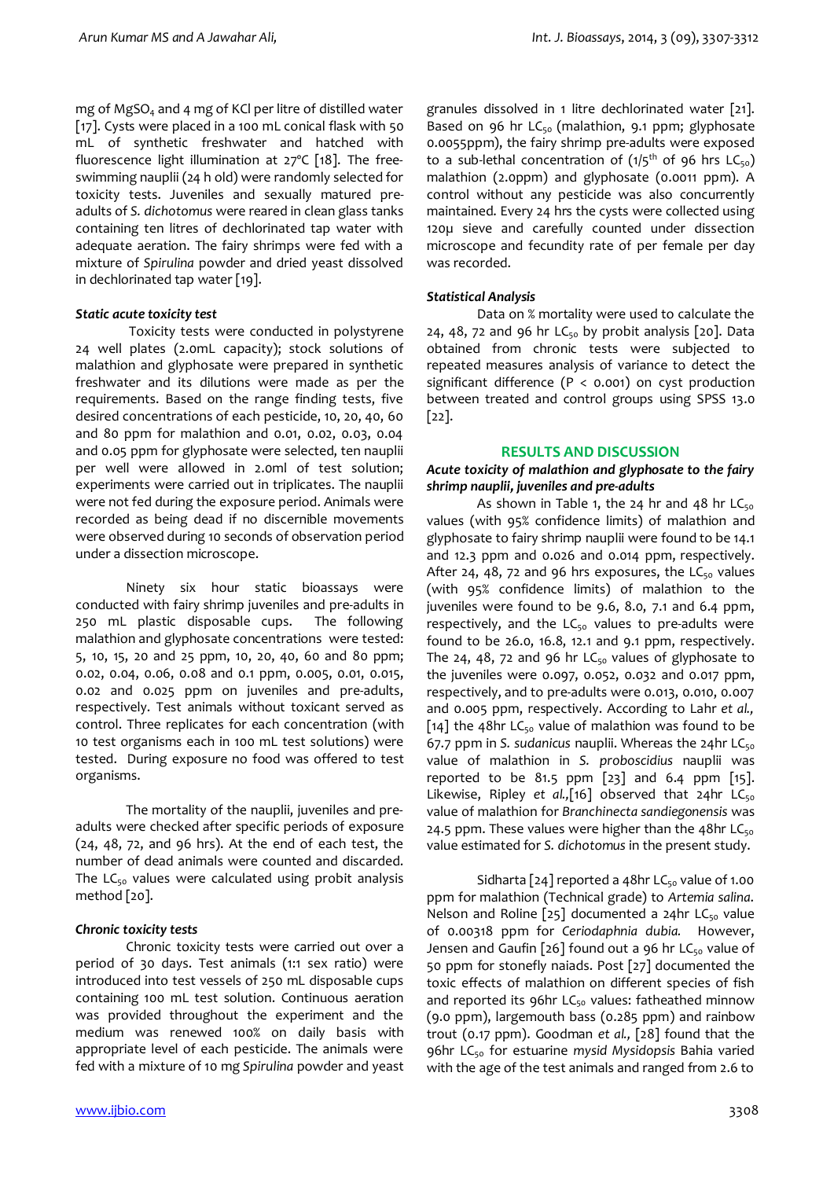mg of  $MgSO<sub>4</sub>$  and 4 mg of KCl per litre of distilled water [17]. Cysts were placed in a 100 mL conical flask with 50 mL of synthetic freshwater and hatched with fluorescence light illumination at 27ºC [18]. The freeswimming nauplii (24 h old) were randomly selected for toxicity tests. Juveniles and sexually matured preadults of *S. dichotomus* were reared in clean glass tanks containing ten litres of dechlorinated tap water with adequate aeration. The fairy shrimps were fed with a mixture of *Spirulina* powder and dried yeast dissolved in dechlorinated tap water [19].

## *Static acute toxicity test*

Toxicity tests were conducted in polystyrene 24 well plates (2.0mL capacity); stock solutions of malathion and glyphosate were prepared in synthetic freshwater and its dilutions were made as per the requirements. Based on the range finding tests, five desired concentrations of each pesticide, 10, 20, 40, 60 and 80 ppm for malathion and 0.01, 0.02, 0.03, 0.04 and 0.05 ppm for glyphosate were selected, ten nauplii per well were allowed in 2.0ml of test solution; experiments were carried out in triplicates. The nauplii were not fed during the exposure period. Animals were recorded as being dead if no discernible movements were observed during 10 seconds of observation period under a dissection microscope.

Ninety six hour static bioassays were conducted with fairy shrimp juveniles and pre-adults in 250 mL plastic disposable cups. The following malathion and glyphosate concentrations were tested: 5, 10, 15, 20 and 25 ppm, 10, 20, 40, 60 and 80 ppm; 0.02, 0.04, 0.06, 0.08 and 0.1 ppm, 0.005, 0.01, 0.015, 0.02 and 0.025 ppm on juveniles and pre-adults, respectively. Test animals without toxicant served as control. Three replicates for each concentration (with 10 test organisms each in 100 mL test solutions) were tested. During exposure no food was offered to test organisms.

The mortality of the nauplii, juveniles and preadults were checked after specific periods of exposure (24, 48, 72, and 96 hrs). At the end of each test, the number of dead animals were counted and discarded. The  $LC_{50}$  values were calculated using probit analysis method [20].

# *Chronic toxicity tests*

Chronic toxicity tests were carried out over a period of 30 days. Test animals (1:1 sex ratio) were introduced into test vessels of 250 mL disposable cups containing 100 mL test solution. Continuous aeration was provided throughout the experiment and the medium was renewed 100% on daily basis with appropriate level of each pesticide. The animals were fed with a mixture of 10 mg *Spirulina* powder and yeast granules dissolved in 1 litre dechlorinated water [21]. Based on 96 hr  $LC_{50}$  (malathion, 9.1 ppm; glyphosate 0.0055ppm), the fairy shrimp pre-adults were exposed to a sub-lethal concentration of  $(1/5^{\text{th}}$  of 96 hrs LC<sub>50</sub>) malathion (2.0ppm) and glyphosate (0.0011 ppm). A control without any pesticide was also concurrently maintained. Every 24 hrs the cysts were collected using 120µ sieve and carefully counted under dissection microscope and fecundity rate of per female per day was recorded.

# *Statistical Analysis*

Data on % mortality were used to calculate the 24, 48, 72 and 96 hr  $LC_{50}$  by probit analysis [20]. Data obtained from chronic tests were subjected to repeated measures analysis of variance to detect the significant difference (P < 0.001) on cyst production between treated and control groups using SPSS 13.0 [22].

### **RESULTS AND DISCUSSION**

## *Acute toxicity of malathion and glyphosate to the fairy shrimp nauplii, juveniles and pre-adults*

As shown in Table 1, the 24 hr and 48 hr  $LC_{50}$ values (with 95% confidence limits) of malathion and glyphosate to fairy shrimp nauplii were found to be 14.1 and 12.3 ppm and 0.026 and 0.014 ppm, respectively. After 24, 48, 72 and 96 hrs exposures, the  $LC_{50}$  values (with 95% confidence limits) of malathion to the juveniles were found to be 9.6, 8.0, 7.1 and 6.4 ppm, respectively, and the  $LC_{50}$  values to pre-adults were found to be 26.0, 16.8, 12.1 and 9.1 ppm, respectively. The 24, 48, 72 and 96 hr  $LC_{50}$  values of glyphosate to the juveniles were 0.097, 0.052, 0.032 and 0.017 ppm, respectively, and to pre-adults were 0.013, 0.010, 0.007 and 0.005 ppm, respectively. According to Lahr *et al.,*  [14] the 48hr LC<sub>50</sub> value of malathion was found to be 67.7 ppm in S. sudanicus nauplii. Whereas the 24hr LC<sub>50</sub> value of malathion in *S. proboscidius* nauplii was reported to be  $81.5$  ppm  $[23]$  and  $6.4$  ppm  $[15]$ . Likewise, Ripley et al.,[16] observed that 24hr LC<sub>50</sub> value of malathion for *Branchinecta sandiegonensis* was 24.5 ppm. These values were higher than the 48hr  $LC_{50}$ value estimated for *S. dichotomus* in the present study.

Sidharta  $[24]$  reported a 48hr LC<sub>50</sub> value of 1.00 ppm for malathion (Technical grade) to *Artemia salina*. Nelson and Roline [25] documented a 24hr  $LC_{50}$  value of 0.00318 ppm for *Ceriodaphnia dubia.* However, Jensen and Gaufin [26] found out a 96 hr LC $_{50}$  value of 50 ppm for stonefly naiads. Post [27] documented the toxic effects of malathion on different species of fish and reported its 96hr  $LC_{50}$  values: fatheathed minnow (9.0 ppm), largemouth bass (0.285 ppm) and rainbow trout (0.17 ppm). Goodman *et al.,* [28] found that the 96hr LC<sub>50</sub> for estuarine mysid Mysidopsis Bahia varied with the age of the test animals and ranged from 2.6 to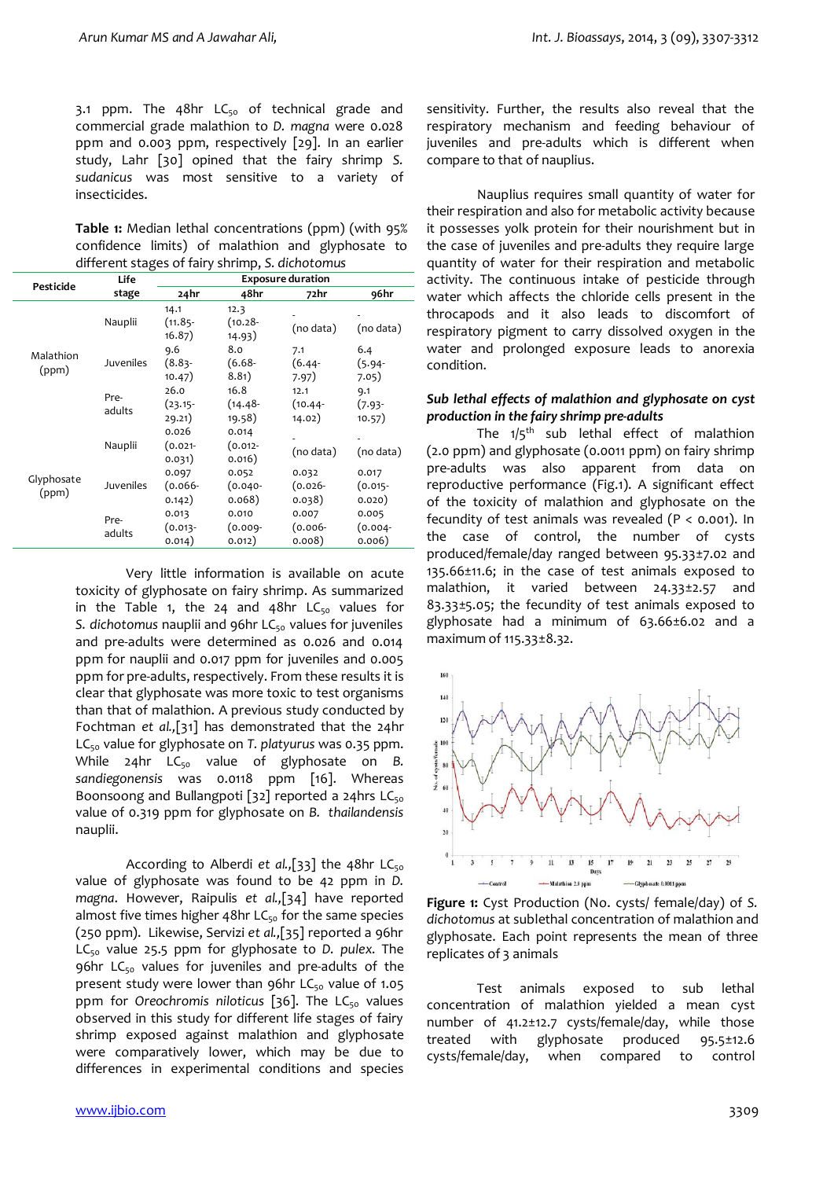3.1 ppm. The  $48$ hr LC<sub>50</sub> of technical grade and commercial grade malathion to *D. magna* were 0.028 ppm and 0.003 ppm, respectively [29]. In an earlier study, Lahr [30] opined that the fairy shrimp *S. sudanicus* was most sensitive to a variety of insecticides.

**Table 1:** Median lethal concentrations (ppm) (with 95% confidence limits) of malathion and glyphosate to different stages of fairy shrimp, *S. dichotomus* 

| Pesticide           | Life           | <b>Exposure duration</b> |            |            |            |
|---------------------|----------------|--------------------------|------------|------------|------------|
|                     | stage          | 24hr                     | 48hr       | 72hr       | 96hr       |
| Malathion<br>(ppm)  | Nauplii        | 14.1                     | 12.3       |            |            |
|                     |                | $(11.85 -$               | $(10.28 -$ | (no data)  | (no data)  |
|                     |                | 16.87)                   | 14.93)     |            |            |
|                     | Juveniles      | 9.6                      | 8.0        | 7.1        | 6.4        |
|                     |                | $(8.83 -$                | $(6.68 -$  | $(6.44 -$  | $(5.94 -$  |
|                     |                | 10.47)                   | 8.81)      | 7.97)      | 7.05)      |
|                     | Pre-<br>adults | 26.0                     | 16.8       | 12.1       | 9.1        |
|                     |                | $(23.15 -$               | $(14.48 -$ | $(10.44 -$ | $(7.93 -$  |
|                     |                | 29.21)                   | 19.58)     | 14.02)     | 10.57)     |
| Glyphosate<br>(ppm) | Nauplii        | 0.026                    | 0.014      |            |            |
|                     |                | $(0.021 -$               | $(0.012 -$ | (no data)  | (no data)  |
|                     |                | 0.031)                   | 0.016)     |            |            |
|                     | Juveniles      | 0.097                    | 0.052      | 0.032      | 0.017      |
|                     |                | $(0.066 -$               | $(0.040 -$ | $(0.026 -$ | $(0.015 -$ |
|                     |                | 0.142)                   | 0.068)     | 0.038)     | 0.020)     |
|                     | Pre-<br>adults | 0.013                    | 0.010      | 0.007      | 0.005      |
|                     |                | $(0.013 -$               | $(0.009 -$ | $(0.006 -$ | $(0.004 -$ |
|                     |                | 0.014)                   | 0.012)     | 0.008)     | 0.006)     |

Very little information is available on acute toxicity of glyphosate on fairy shrimp. As summarized in the Table 1, the 24 and 48hr  $LC_{50}$  values for *S. dichotomus* nauplii and 96hr LC<sub>50</sub> values for juveniles and pre-adults were determined as 0.026 and 0.014 ppm for nauplii and 0.017 ppm for juveniles and 0.005 ppm for pre-adults, respectively. From these results it is clear that glyphosate was more toxic to test organisms than that of malathion. A previous study conducted by Fochtman *et al.,*[31] has demonstrated that the 24hr LC50 value for glyphosate on *T. platyurus* was 0.35 ppm. While 24hr LC<sub>50</sub> value of glyphosate on *B*. *sandiegonensis* was 0.0118 ppm [16]. Whereas Boonsoong and Bullangpoti [32] reported a 24hrs  $LC_{50}$ value of 0.319 ppm for glyphosate on *B. thailandensis*  nauplii.

According to Alberdi *et al.*,[33] the 48hr LC<sub>50</sub> value of glyphosate was found to be 42 ppm in *D. magna*. However, Raipulis *et al.,*[34] have reported almost five times higher  $48$ hr LC<sub>50</sub> for the same species (250 ppm). Likewise, Servizi *et al.,*[35] reported a 96hr LC<sub>50</sub> value 25.5 ppm for glyphosate to *D. pulex.* The 96hr  $LC_{50}$  values for juveniles and pre-adults of the present study were lower than 96hr  $LC_{50}$  value of 1.05 ppm for *Oreochromis niloticus* [36]. The LC<sub>50</sub> values observed in this study for different life stages of fairy shrimp exposed against malathion and glyphosate were comparatively lower, which may be due to differences in experimental conditions and species

sensitivity. Further, the results also reveal that the respiratory mechanism and feeding behaviour of juveniles and pre-adults which is different when compare to that of nauplius.

Nauplius requires small quantity of water for their respiration and also for metabolic activity because it possesses yolk protein for their nourishment but in the case of juveniles and pre-adults they require large quantity of water for their respiration and metabolic activity. The continuous intake of pesticide through water which affects the chloride cells present in the throcapods and it also leads to discomfort of respiratory pigment to carry dissolved oxygen in the water and prolonged exposure leads to anorexia condition.

## *Sub lethal effects of malathion and glyphosate on cyst production in the fairy shrimp pre-adults*

The  $1/5^{\text{th}}$  sub lethal effect of malathion (2.0 ppm) and glyphosate (0.0011 ppm) on fairy shrimp pre-adults was also apparent from data on reproductive performance (Fig.1). A significant effect of the toxicity of malathion and glyphosate on the fecundity of test animals was revealed (P < 0.001). In the case of control, the number of cysts produced/female/day ranged between 95.33±7.02 and 135.66±11.6; in the case of test animals exposed to malathion, it varied between 24.33±2.57 and 83.33±5.05; the fecundity of test animals exposed to glyphosate had a minimum of 63.66±6.02 and a maximum of 115.33±8.32.



**Figure 1:** Cyst Production (No. cysts/ female/day) of *S. dichotomus* at sublethal concentration of malathion and glyphosate. Each point represents the mean of three replicates of 3 animals

Test animals exposed to sub lethal concentration of malathion yielded a mean cyst number of 41.2±12.7 cysts/female/day, while those treated with glyphosate produced 95.5±12.6 cysts/female/day, when compared to control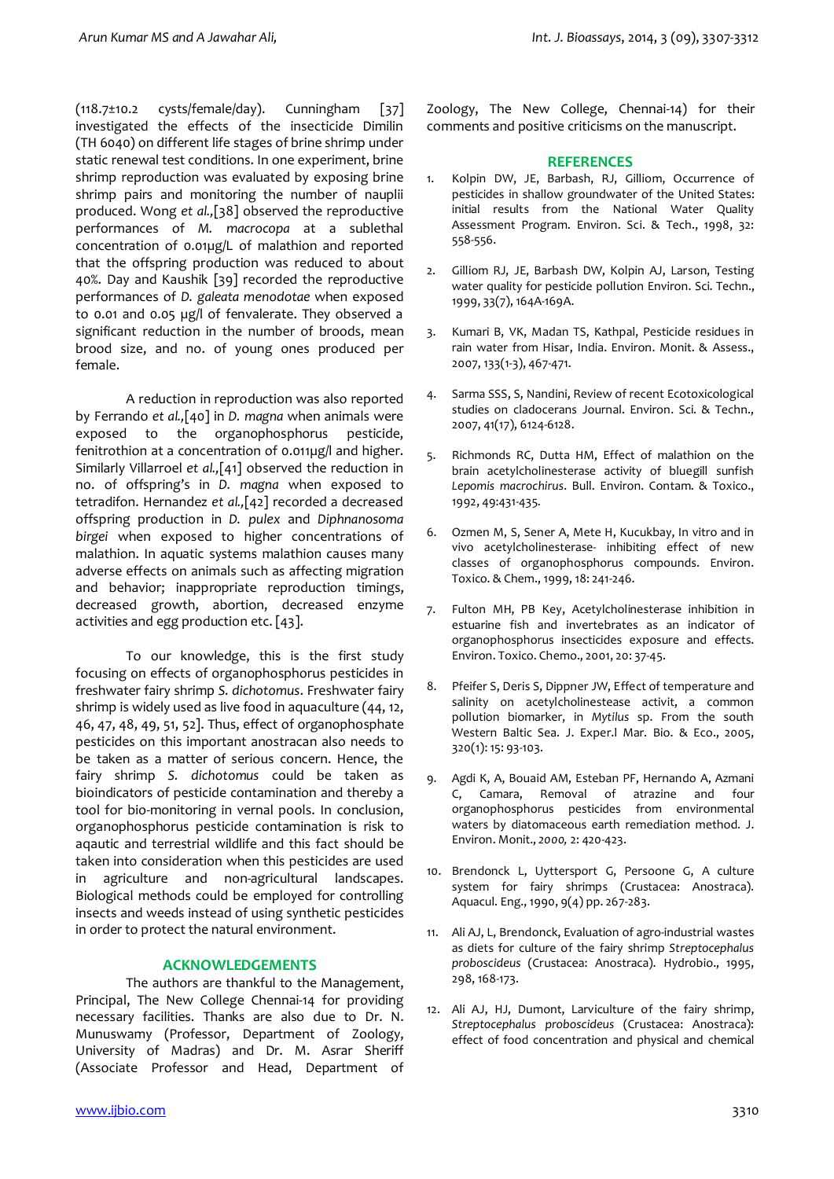(118.7±10.2 cysts/female/day). Cunningham [37] investigated the effects of the insecticide Dimilin (TH 6040) on different life stages of brine shrimp under static renewal test conditions. In one experiment, brine shrimp reproduction was evaluated by exposing brine shrimp pairs and monitoring the number of nauplii produced. Wong *et al.,*[38] observed the reproductive performances of *M. macrocopa* at a sublethal concentration of 0.01µg/L of malathion and reported that the offspring production was reduced to about 40%. Day and Kaushik [39] recorded the reproductive performances of *D. galeata menodotae* when exposed to 0.01 and 0.05 µg/l of fenvalerate. They observed a significant reduction in the number of broods, mean brood size, and no. of young ones produced per female.

A reduction in reproduction was also reported by Ferrando *et al.,*[40] in *D. magna* when animals were exposed to the organophosphorus pesticide, fenitrothion at a concentration of 0.011µg/l and higher. Similarly Villarroel *et al.,*[41] observed the reduction in no. of offspring's in *D. magna* when exposed to tetradifon. Hernandez *et al.,*[42] recorded a decreased offspring production in *D. pulex* and *Diphnanosoma birgei* when exposed to higher concentrations of malathion. In aquatic systems malathion causes many adverse effects on animals such as affecting migration and behavior; inappropriate reproduction timings, decreased growth, abortion, decreased enzyme activities and egg production etc. [43].

To our knowledge, this is the first study focusing on effects of organophosphorus pesticides in freshwater fairy shrimp *S. dichotomus*. Freshwater fairy shrimp is widely used as live food in aquaculture (44, 12, 46, 47, 48, 49, 51, 52]. Thus, effect of organophosphate pesticides on this important anostracan also needs to be taken as a matter of serious concern. Hence, the fairy shrimp *S. dichotomus* could be taken as bioindicators of pesticide contamination and thereby a tool for bio-monitoring in vernal pools. In conclusion, organophosphorus pesticide contamination is risk to aqautic and terrestrial wildlife and this fact should be taken into consideration when this pesticides are used in agriculture and non-agricultural landscapes. Biological methods could be employed for controlling insects and weeds instead of using synthetic pesticides in order to protect the natural environment.

# **ACKNOWLEDGEMENTS**

The authors are thankful to the Management, Principal, The New College Chennai-14 for providing necessary facilities. Thanks are also due to Dr. N. Munuswamy (Professor, Department of Zoology, University of Madras) and Dr. M. Asrar Sheriff (Associate Professor and Head, Department of

Zoology, The New College, Chennai-14) for their comments and positive criticisms on the manuscript.

### **REFERENCES**

- 1. Kolpin DW, JE, Barbash, RJ, Gilliom, Occurrence of pesticides in shallow groundwater of the United States: initial results from the National Water Quality Assessment Program. Environ. Sci. & Tech., 1998, 32: 558-556.
- Gilliom RJ, JE, Barbash DW, Kolpin AJ, Larson, Testing water quality for pesticide pollution Environ. Sci. Techn., 1999, 33(7), 164A-169A.
- 3. Kumari B, VK, Madan TS, Kathpal, Pesticide residues in rain water from Hisar, India. Environ. Monit. & Assess., 2007, 133(1-3), 467-471.
- 4. Sarma SSS, S, Nandini, Review of recent Ecotoxicological studies on cladocerans Journal. Environ. Sci. & Techn., 2007, 41(17), 6124-6128.
- 5. Richmonds RC, Dutta HM, Effect of malathion on the brain acetylcholinesterase activity of bluegill sunfish *Lepomis macrochirus*. Bull. Environ. Contam. & Toxico., 1992, 49:431-435.
- 6. Ozmen M, S, Sener A, Mete H, Kucukbay, In vitro and in vivo acetylcholinesterase- inhibiting effect of new classes of organophosphorus compounds. Environ. Toxico. & Chem., 1999, 18: 241-246.
- 7. Fulton MH, PB Key, Acetylcholinesterase inhibition in estuarine fish and invertebrates as an indicator of organophosphorus insecticides exposure and effects. Environ. Toxico. Chemo., 2001, 20: 37-45.
- 8. Pfeifer S, Deris S, Dippner JW, Effect of temperature and salinity on acetylcholinestease activit, a common pollution biomarker, in *Mytilus* sp. From the south Western Baltic Sea. J. Exper.l Mar. Bio. & Eco., 2005, 320(1): 15: 93-103.
- 9. Agdi K, A, Bouaid AM, Esteban PF, Hernando A, Azmani C, Camara, Removal of atrazine and four organophosphorus pesticides from environmental waters by diatomaceous earth remediation method*.* J. Environ. Monit., *2000,* 2: 420-423.
- 10. Brendonck L, Uyttersport G, Persoone G, A culture system for fairy shrimps (Crustacea: Anostraca). Aquacul. Eng., 1990, 9(4) pp. 267-283.
- 11. Ali AJ, L, Brendonck, Evaluation of agro-industrial wastes as diets for culture of the fairy shrimp *Streptocephalus proboscideus* (Crustacea: Anostraca). Hydrobio., 1995, 298, 168-173.
- 12. Ali AJ, HJ, Dumont, Larviculture of the fairy shrimp, *Streptocephalus proboscideus* (Crustacea: Anostraca): effect of food concentration and physical and chemical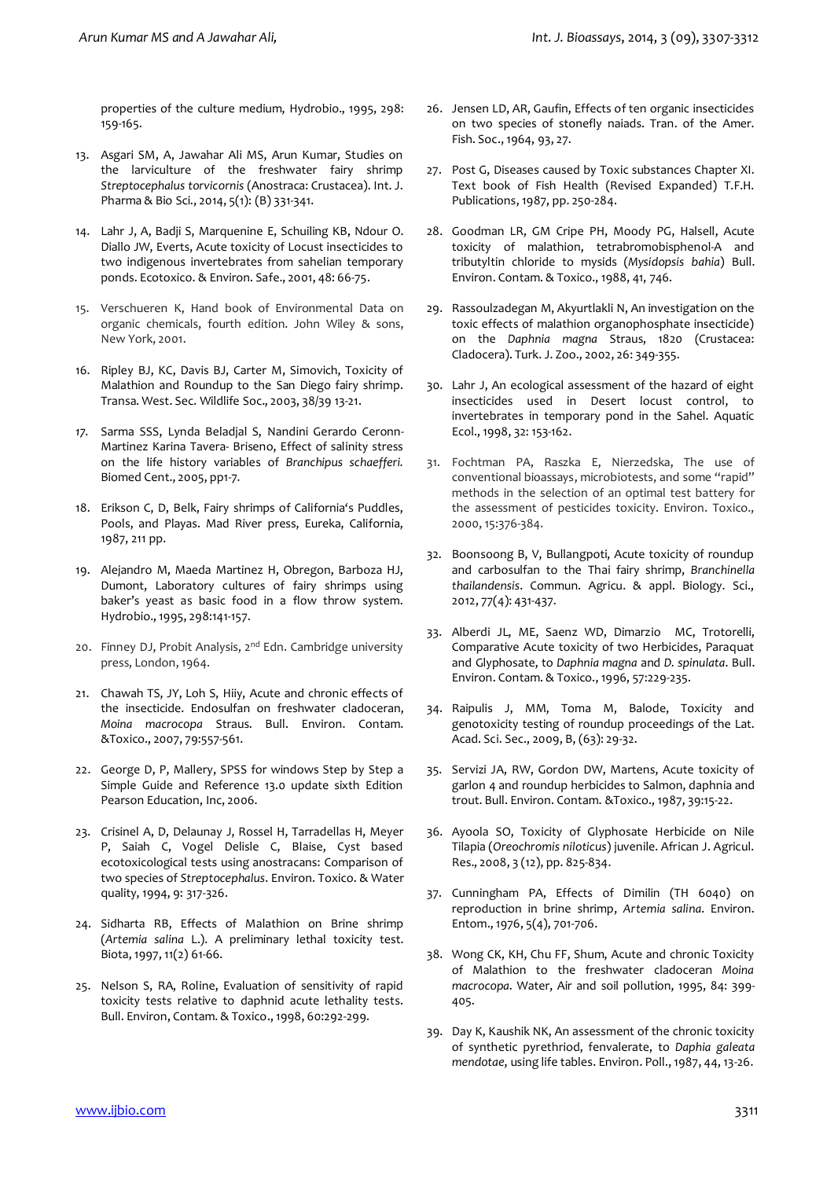properties of the culture medium, Hydrobio., 1995, 298: 159-165.

- 13. Asgari SM, A, Jawahar Ali MS, Arun Kumar, Studies on the larviculture of the freshwater fairy shrimp *Streptocephalus torvicornis* (Anostraca: Crustacea). Int. J. Pharma & Bio Sci., 2014, 5(1): (B) 331-341.
- 14. Lahr J, A, Badji S, Marquenine E, Schuiling KB, Ndour O. Diallo JW, Everts, Acute toxicity of Locust insecticides to two indigenous invertebrates from sahelian temporary ponds. Ecotoxico. & Environ. Safe., 2001, 48: 66-75.
- 15. Verschueren K, Hand book of Environmental Data on organic chemicals, fourth edition. John Wiley & sons, New York, 2001.
- 16. Ripley BJ, KC, Davis BJ, Carter M, Simovich, Toxicity of Malathion and Roundup to the San Diego fairy shrimp. Transa. West. Sec. Wildlife Soc., 2003, 38/39 13-21.
- *17.* Sarma SSS, Lynda Beladjal S, Nandini Gerardo Ceronn-Martinez Karina Tavera- Briseno, Effect of salinity stress on the life history variables of *Branchipus schaefferi.*  Biomed Cent., 2005, pp1-7*.*
- 18. Erikson C, D, Belk, Fairy shrimps of California's Puddles, Pools, and Playas. Mad River press, Eureka, California, 1987, 211 pp.
- 19. Alejandro M, Maeda Martinez H, Obregon, Barboza HJ, Dumont, Laboratory cultures of fairy shrimps using baker's yeast as basic food in a flow throw system. Hydrobio., 1995, 298:141-157.
- 20. Finney DJ, Probit Analysis, 2<sup>nd</sup> Edn. Cambridge university press, London, 1964.
- 21. Chawah TS, JY, Loh S, Hiiy, Acute and chronic effects of the insecticide. Endosulfan on freshwater cladoceran, *Moina macrocopa* Straus. Bull. Environ. Contam. &Toxico., 2007, 79:557-561.
- 22. George D, P, Mallery, SPSS for windows Step by Step a Simple Guide and Reference 13.0 update sixth Edition Pearson Education, Inc, 2006.
- 23. Crisinel A, D, Delaunay J, Rossel H, Tarradellas H, Meyer P, Saiah C, Vogel Delisle C, Blaise, Cyst based ecotoxicological tests using anostracans: Comparison of two species of *Streptocephalus*. Environ. Toxico. & Water quality, 1994, 9: 317-326.
- 24. Sidharta RB, Effects of Malathion on Brine shrimp (*Artemia salina* L.). A preliminary lethal toxicity test. Biota, 1997, 11(2) 61-66.
- 25. Nelson S, RA, Roline, Evaluation of sensitivity of rapid toxicity tests relative to daphnid acute lethality tests. Bull. Environ, Contam. & Toxico., 1998, 60:292-299.
- 26. Jensen LD, AR, Gaufin, Effects of ten organic insecticides on two species of stonefly naiads. Tran. of the Amer. Fish. Soc., 1964, 93, 27.
- 27. Post G, Diseases caused by Toxic substances Chapter XI. Text book of Fish Health (Revised Expanded) T.F.H. Publications, 1987, pp. 250-284.
- 28. Goodman LR, GM Cripe PH, Moody PG, Halsell, Acute toxicity of malathion, tetrabromobisphenol-A and tributyltin chloride to mysids (*Mysidopsis bahia*) Bull. Environ. Contam. & Toxico., 1988, 41, 746.
- 29. Rassoulzadegan M, Akyurtlakli N, An investigation on the toxic effects of malathion organophosphate insecticide) on the *Daphnia magna* Straus, 1820 (Crustacea: Cladocera). Turk. J. Zoo., 2002, 26: 349-355.
- 30. Lahr J, An ecological assessment of the hazard of eight insecticides used in Desert locust control, to invertebrates in temporary pond in the Sahel. Aquatic Ecol., 1998, 32: 153-162.
- 31. Fochtman PA, Raszka E, Nierzedska, The use of conventional bioassays, microbiotests, and some "rapid" methods in the selection of an optimal test battery for the assessment of pesticides toxicity. Environ. Toxico., 2000, 15:376-384.
- 32. Boonsoong B, V, Bullangpoti, Acute toxicity of roundup and carbosulfan to the Thai fairy shrimp, *Branchinella thailandensis*. Commun. Agricu. & appl. Biology. Sci., 2012, 77(4): 431-437.
- 33. Alberdi JL, ME, Saenz WD, Dimarzio MC, Trotorelli, Comparative Acute toxicity of two Herbicides, Paraquat and Glyphosate, to *Daphnia magna* and *D. spinulata*. Bull. Environ. Contam. & Toxico., 1996, 57:229-235.
- 34. Raipulis J, MM, Toma M, Balode, Toxicity and genotoxicity testing of roundup proceedings of the Lat. Acad. Sci. Sec., 2009, B, (63): 29-32.
- 35. Servizi JA, RW, Gordon DW, Martens, Acute toxicity of garlon 4 and roundup herbicides to Salmon, daphnia and trout. Bull. Environ. Contam. &Toxico., 1987, 39:15-22.
- 36. Ayoola SO, Toxicity of Glyphosate Herbicide on Nile Tilapia (*Oreochromis niloticus*) juvenile. African J. Agricul. Res., 2008, 3 (12), pp. 825-834.
- 37. Cunningham PA, Effects of Dimilin (TH 6040) on reproduction in brine shrimp, *Artemia salina*. Environ. Entom., 1976, 5(4), 701-706.
- 38. Wong CK, KH, Chu FF, Shum, Acute and chronic Toxicity of Malathion to the freshwater cladoceran *Moina macrocopa*. Water, Air and soil pollution, 1995, 84: 399- 405.
- 39. Day K, Kaushik NK, An assessment of the chronic toxicity of synthetic pyrethriod, fenvalerate, to *Daphia galeata mendotae*, using life tables. Environ. Poll., 1987, 44, 13-26.